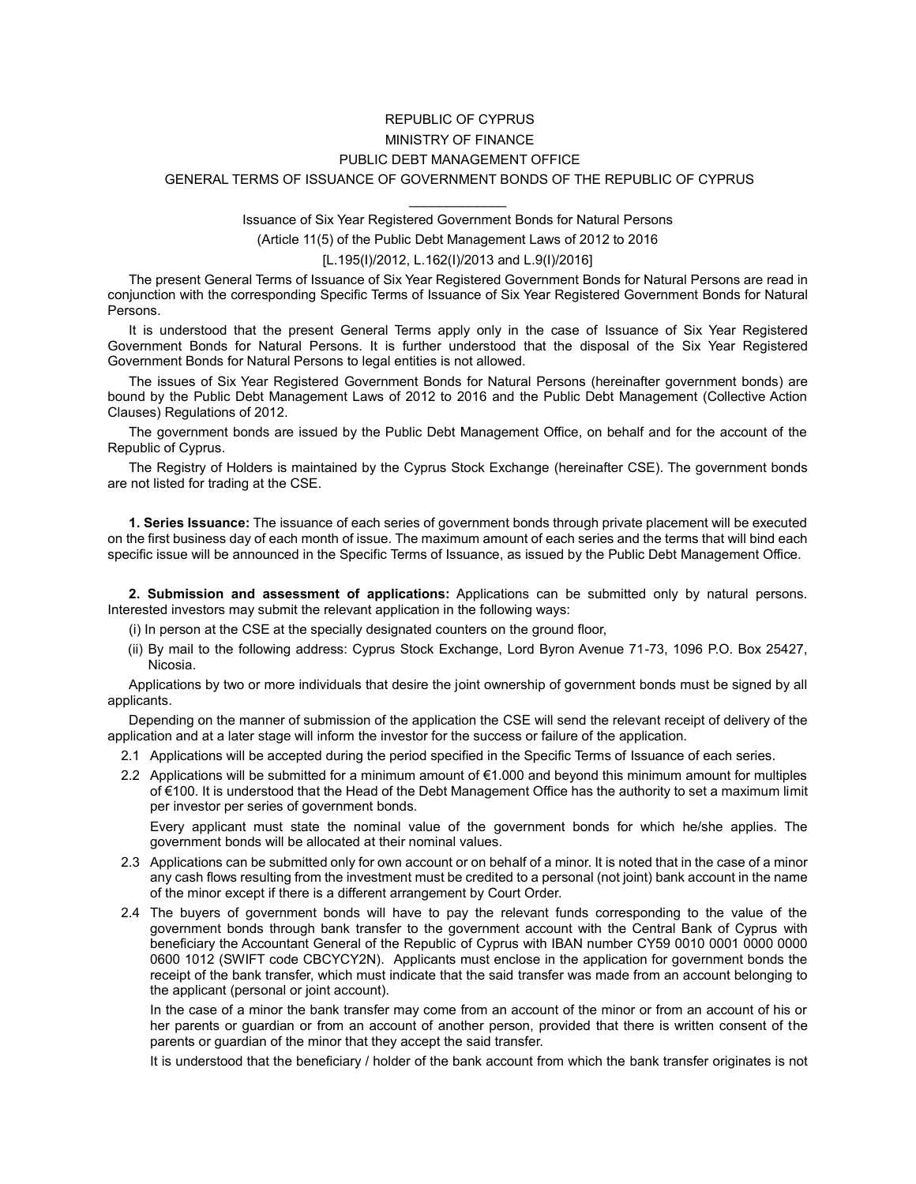## REPUBLIC OF CYPRUS MINISTRY OF FINANCE PUBLIC DEBT MANAGEMENT OFFICE GENERAL TERMS OF ISSUANCE OF GOVERNMENT BONDS OF THE REPUBLIC OF CYPRUS

 $\mathcal{L}_\text{max}$  and  $\mathcal{L}_\text{max}$ Issuance of Six Year Registered Government Bonds for Natural Persons

(Article 11(5) of the Public Debt Management Laws of 2012 to 2016

[L.195(I)/2012, L.162(I)/2013 and L.9(I)/2016]

The present General Terms of Issuance of Six Year Registered Government Bonds for Natural Persons are read in conjunction with the corresponding Specific Terms of Issuance of Six Year Registered Government Bonds for Natural Persons.

It is understood that the present General Terms apply only in the case of Issuance of Six Year Registered Government Bonds for Natural Persons. It is further understood that the disposal of the Six Year Registered Government Bonds for Natural Persons to legal entities is not allowed.

The issues of Six Year Registered Government Bonds for Natural Persons (hereinafter government bonds) are bound by the Public Debt Management Laws of 2012 to 2016 and the Public Debt Management (Collective Action Clauses) Regulations of 2012.

The government bonds are issued by the Public Debt Management Office, on behalf and for the account of the Republic of Cyprus.

The Registry of Holders is maintained by the Cyprus Stock Exchange (hereinafter CSE). The government bonds are not listed for trading at the CSE.

**1. Series Issuance:** The issuance of each series of government bonds through private placement will be executed on the first business day of each month of issue. The maximum amount of each series and the terms that will bind each specific issue will be announced in the Specific Terms of Issuance, as issued by the Public Debt Management Office.

**2. Submission and assessment of applications:** Applications can be submitted only by natural persons. Interested investors may submit the relevant application in the following ways:

(i) In person at the CSE at the specially designated counters on the ground floor,

(ii) By mail to the following address: Cyprus Stock Exchange, Lord Byron Avenue 71-73, 1096 P.O. Box 25427, Nicosia.

Applications by two or more individuals that desire the joint ownership of government bonds must be signed by all applicants.

Depending on the manner of submission of the application the CSE will send the relevant receipt of delivery of the application and at a later stage will inform the investor for the success or failure of the application.

- 2.1 Applications will be accepted during the period specified in the Specific Terms of Issuance of each series.
- 2.2 Applications will be submitted for a minimum amount of €1.000 and beyond this minimum amount for multiples of €100. It is understood that the Head of the Debt Management Office has the authority to set a maximum limit per investor per series of government bonds.

Every applicant must state the nominal value of the government bonds for which he/she applies. The government bonds will be allocated at their nominal values.

- 2.3 Applications can be submitted only for own account or on behalf of a minor. It is noted that in the case of a minor any cash flows resulting from the investment must be credited to a personal (not joint) bank account in the name of the minor except if there is a different arrangement by Court Order.
- 2.4 The buyers of government bonds will have to pay the relevant funds corresponding to the value of the government bonds through bank transfer to the government account with the Central Bank of Cyprus with beneficiary the Accountant General of the Republic οf Cyprus with IBAN number CY59 0010 0001 0000 0000 0600 1012 (SWIFT code CBCYCY2N). Applicants must enclose in the application for government bonds the receipt of the bank transfer, which must indicate that the said transfer was made from an account belonging to the applicant (personal or joint account).

In the case of a minor the bank transfer may come from an account of the minor or from an account of his or her parents or guardian or from an account of another person, provided that there is written consent of the parents or guardian of the minor that they accept the said transfer.

It is understood that the beneficiary / holder of the bank account from which the bank transfer originates is not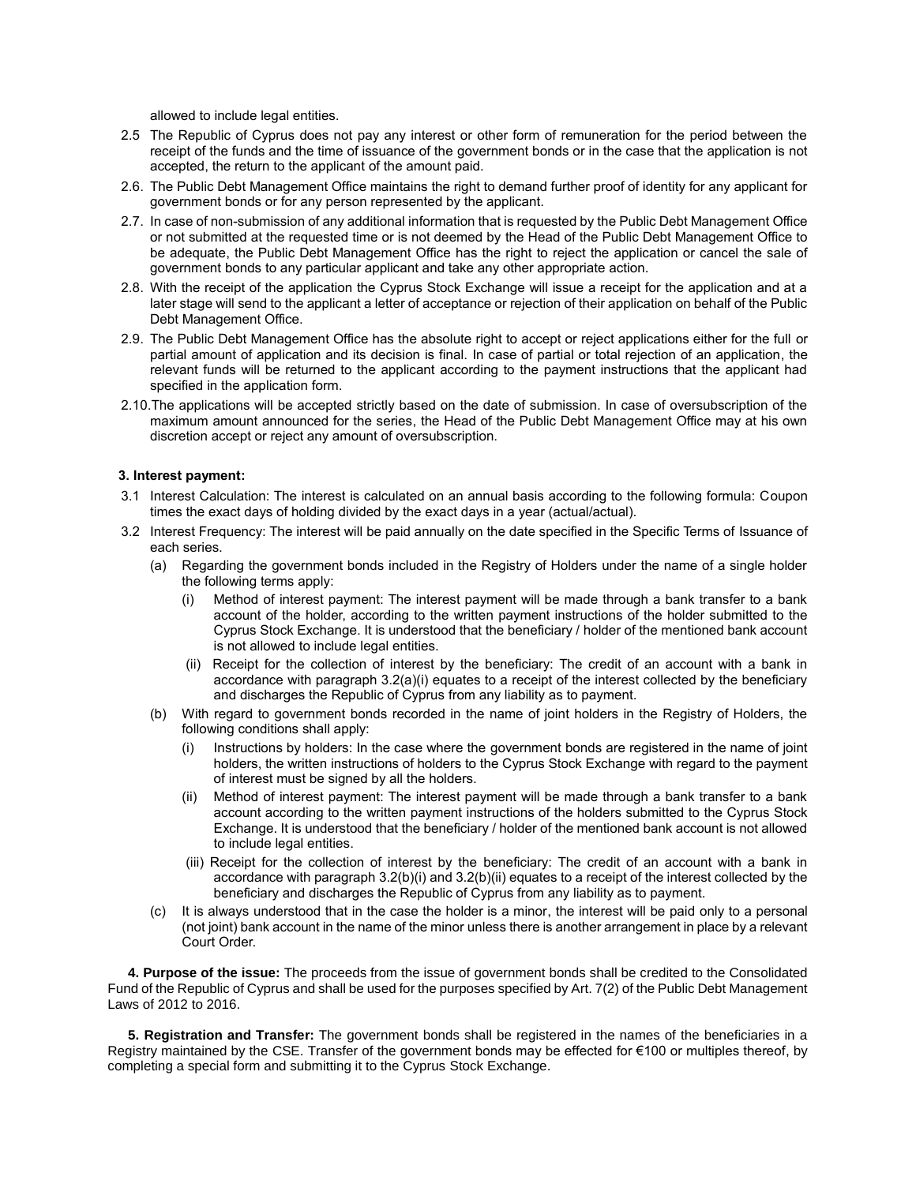allowed to include legal entities.

- 2.5 Τhe Republic of Cyprus does not pay any interest or other form of remuneration for the period between the receipt of the funds and the time of issuance of the government bonds or in the case that the application is not accepted, the return to the applicant of the amount paid.
- 2.6. The Public Debt Management Office maintains the right to demand further proof of identity for any applicant for government bonds or for any person represented by the applicant.
- 2.7. In case of non-submission of any additional information that is requested by the Public Debt Management Office or not submitted at the requested time or is not deemed by the Head of the Public Debt Management Office to be adequate, the Public Debt Management Office has the right to reject the application or cancel the sale of government bonds to any particular applicant and take any other appropriate action.
- 2.8. With the receipt of the application the Cyprus Stock Exchange will issue a receipt for the application and at a later stage will send to the applicant a letter of acceptance or rejection of their application on behalf of the Public Debt Management Office.
- 2.9. The Public Debt Management Office has the absolute right to accept or reject applications either for the full or partial amount of application and its decision is final. In case of partial or total rejection of an application, the relevant funds will be returned to the applicant according to the payment instructions that the applicant had specified in the application form.
- 2.10.The applications will be accepted strictly based on the date of submission. In case of oversubscription of the maximum amount announced for the series, the Head of the Public Debt Management Office may at his own discretion accept or reject any amount of oversubscription.

## **3. Interest payment:**

- 3.1 Interest Calculation: The interest is calculated on an annual basis according to the following formula: Coupon times the exact days of holding divided by the exact days in a year (actual/actual).
- 3.2 Interest Frequency: The interest will be paid annually on the date specified in the Specific Terms of Issuance of each series.
	- (a) Regarding the government bonds included in the Registry of Holders under the name of a single holder the following terms apply:
		- (i) Method of interest payment: The interest payment will be made through a bank transfer to a bank account of the holder, according to the written payment instructions of the holder submitted to the Cyprus Stock Exchange. It is understood that the beneficiary / holder of the mentioned bank account is not allowed to include legal entities.
		- (ii) Receipt for the collection of interest by the beneficiary: The credit of an account with a bank in accordance with paragraph 3.2(a)(i) equates to a receipt of the interest collected by the beneficiary and discharges the Republic of Cyprus from any liability as to payment.
	- (b) With regard to government bonds recorded in the name of joint holders in the Registry of Holders, the following conditions shall apply:
		- (i) Instructions by holders: In the case where the government bonds are registered in the name of joint holders, the written instructions of holders to the Cyprus Stock Exchange with regard to the payment of interest must be signed by all the holders.
		- (ii) Method of interest payment: The interest payment will be made through a bank transfer to a bank account according to the written payment instructions of the holders submitted to the Cyprus Stock Exchange. It is understood that the beneficiary / holder of the mentioned bank account is not allowed to include legal entities.
		- (iii) Receipt for the collection of interest by the beneficiary: The credit of an account with a bank in accordance with paragraph 3.2(b)(i) and 3.2(b)(ii) equates to a receipt of the interest collected by the beneficiary and discharges the Republic of Cyprus from any liability as to payment.
	- (c) It is always understood that in the case the holder is a minor, the interest will be paid only to a personal (not joint) bank account in the name of the minor unless there is another arrangement in place by a relevant Court Order.

**4. Purpose of the issue:** The proceeds from the issue of government bonds shall be credited to the Consolidated Fund of the Republic of Cyprus and shall be used for the purposes specified by Art. 7(2) of the Public Debt Management Laws of 2012 to 2016.

**5. Registration and Transfer:** The government bonds shall be registered in the names of the beneficiaries in a Registry maintained by the CSE. Transfer of the government bonds may be effected for €100 or multiples thereof, by completing a special form and submitting it to the Cyprus Stock Exchange.